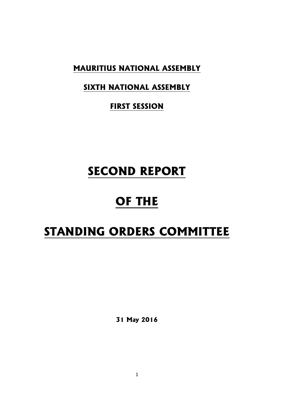**MAURITIUS NATIONAL ASSEMBLY**

# **SIXTH NATIONAL ASSEMBLY**

**FIRST SESSION**

# **SECOND REPORT**

# **OF THE**

# **STANDING ORDERS COMMITTEE**

**31 May 2016**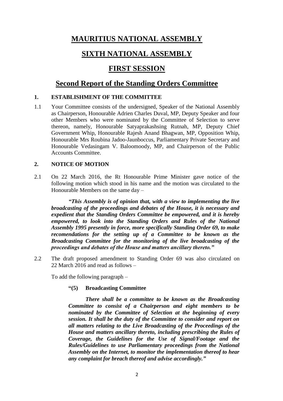# **MAURITIUS NATIONAL ASSEMBLY**

# **SIXTH NATIONAL ASSEMBLY**

## **FIRST SESSION**

## **Second Report of the Standing Orders Committee**

### **1. ESTABLISHMENT OF THE COMMITTEE**

1.1 Your Committee consists of the undersigned, Speaker of the National Assembly as Chairperson, Honourable Adrien Charles Duval, MP, Deputy Speaker and four other Members who were nominated by the Committee of Selection to serve thereon, namely, Honourable Satyaprakashsing Rutnah, MP, Deputy Chief Government Whip, Honourable Rajesh Anand Bhagwan, MP, Opposition Whip, Honourable Mrs Roubina Jadoo-Jaunboccus, Parliamentary Private Secretary and Honourable Vedasingam V. Baloomoody, MP, and Chairperson of the Public Accounts Committee.

## **2. NOTICE OF MOTION**

2.1 On 22 March 2016, the Rt Honourable Prime Minister gave notice of the following motion which stood in his name and the motion was circulated to the Honourable Members on the same day –

*"This Assembly is of opinion that, with a view to implementing the live broadcasting of the proceedings and debates of the House, it is necessary and expedient that the Standing Orders Committee be empowered, and it is hereby empowered, to look into the Standing Orders and Rules of the National Assembly 1995 presently in force, more specifically Standing Order 69, to make recomendations for the setting up of a Committee to be known as the Broadcasting Committee for the monitoring of the live broadcasting of the proceedings and debates of the House and matters ancillary thereto."*

2.2 The draft proposed amendment to Standing Order 69 was also circulated on 22 March 2016 and read as follows –

To add the following paragraph –

#### **"(5) Broadcasting Committee**

*There shall be a committee to be known as the Broadcasting Committee to consist of a Chairperson and eight members to be nominated by the Committee of Selection at the beginning of every session. It shall be the duty of the Committee to consider and report on all matters relating to the Live Broadcasting of the Proceedings of the House and matters ancillary thereto, including prescribing the Rules of Coverage, the Guidelines for the Use of Signal/Footage and the Rules/Guidelines to use Parliamentary proceedings from the National Assembly on the Internet, to monitor the implementation thereof to hear any complaint for breach thereof and advise accordingly."*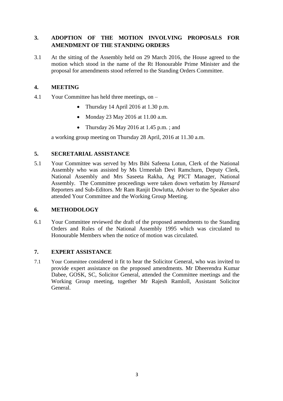## **3. ADOPTION OF THE MOTION INVOLVING PROPOSALS FOR AMENDMENT OF THE STANDING ORDERS**

3.1 At the sitting of the Assembly held on 29 March 2016, the House agreed to the motion which stood in the name of the Rt Honourable Prime Minister and the proposal for amendments stood referred to the Standing Orders Committee.

### **4. MEETING**

- 4.1 Your Committee has held three meetings, on
	- Thursday 14 April 2016 at 1.30 p.m.
	- Monday 23 May 2016 at 11.00 a.m.
	- Thursday 26 May 2016 at 1.45 p.m.; and

a working group meeting on Thursday 28 April, 2016 at 11.30 a.m.

#### **5. SECRETARIAL ASSISTANCE**

5.1 Your Committee was served by Mrs Bibi Safeena Lotun, Clerk of the National Assembly who was assisted by Ms Urmeelah Devi Ramchurn, Deputy Clerk, National Assembly and Mrs Saseeta Rakha, Ag PICT Manager, National Assembly. The Committee proceedings were taken down verbatim by *Hansard* Reporters and Sub-Editors. Mr Ram Ranjit Dowlutta, Adviser to the Speaker also attended Your Committee and the Working Group Meeting.

### **6. METHODOLOGY**

6.1 Your Committee reviewed the draft of the proposed amendments to the Standing Orders and Rules of the National Assembly 1995 which was circulated to Honourable Members when the notice of motion was circulated.

#### **7. EXPERT ASSISTANCE**

7.1 Your Committee considered it fit to hear the Solicitor General, who was invited to provide expert assistance on the proposed amendments. Mr Dheerendra Kumar Dabee, GOSK, SC, Solicitor General, attended the Committee meetings and the Working Group meeting, together Mr Rajesh Ramloll, Assistant Solicitor General.